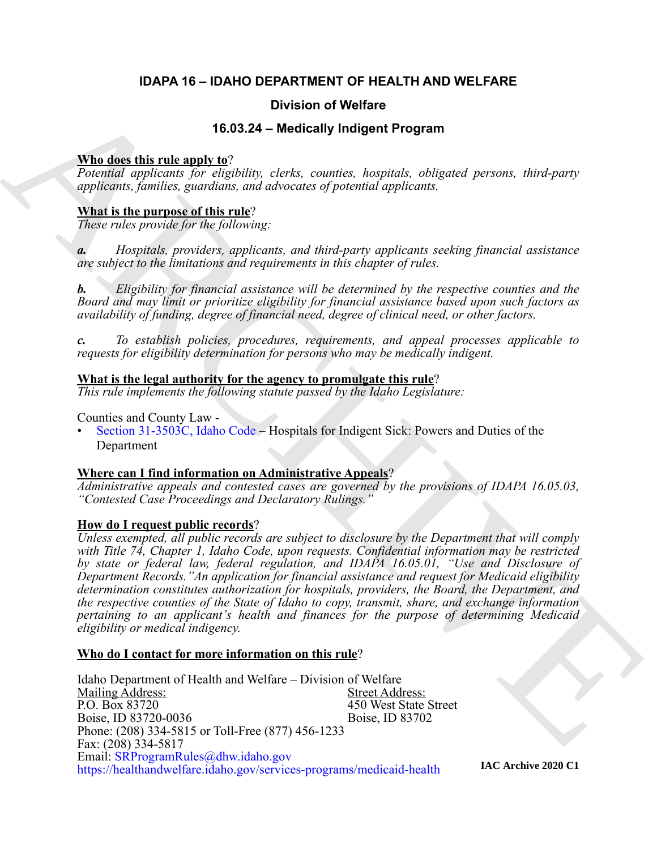#### **IDAPA 16 – IDAHO DEPARTMENT OF HEALTH AND WELFARE**

#### **Division of Welfare**

#### **16.03.24 – Medically Indigent Program**

#### **Who does this rule apply to**?

*Potential applicants for eligibility, clerks, counties, hospitals, obligated persons, third-party applicants, families, guardians, and advocates of potential applicants.*

#### **What is the purpose of this rule**?

*These rules provide for the following:*

*a. Hospitals, providers, applicants, and third-party applicants seeking financial assistance are subject to the limitations and requirements in this chapter of rules.*

*b. Eligibility for financial assistance will be determined by the respective counties and the Board and may limit or prioritize eligibility for financial assistance based upon such factors as availability of funding, degree of financial need, degree of clinical need, or other factors.*

*c. To establish policies, procedures, requirements, and appeal processes applicable to requests for eligibility determination for persons who may be medically indigent.*

#### **What is the legal authority for the agency to promulgate this rule**?

*This rule implements the following statute passed by the Idaho Legislature:*

Counties and County Law -

• Section 31-3503C, Idaho Code – Hospitals for Indigent Sick: Powers and Duties of the Department

#### **Where can I find information on Administrative Appeals**?

*Administrative appeals and contested cases are governed by the provisions of IDAPA 16.05.03, "Contested Case Proceedings and Declaratory Rulings."*

#### **How do I request public records**?

**16.03.24 - Medically Indigen Program**<br>
16.03.24 - Medically Indigent Program<br>
16.03.24 - Medically Indigent Program<br> *applicates forming application in the disposition case of the consists, housing a particle of the part Unless exempted, all public records are subject to disclosure by the Department that will comply with Title 74, Chapter 1, Idaho Code, upon requests. Confidential information may be restricted by state or federal law, federal regulation, and IDAPA 16.05.01, "Use and Disclosure of Department Records."An application for financial assistance and request for Medicaid eligibility determination constitutes authorization for hospitals, providers, the Board, the Department, and the respective counties of the State of Idaho to copy, transmit, share, and exchange information pertaining to an applicant's health and finances for the purpose of determining Medicaid eligibility or medical indigency.*

#### **Who do I contact for more information on this rule**?

Idaho Department of Health and Welfare – Division of Welfare Mailing Address:<br>
P.O. Box 83720<br>
Street Address:<br>
450 West State 450 West State Street<br>Boise, ID 83702 Boise, ID 83720-0036 Phone: (208) 334-5815 or Toll-Free (877) 456-1233 Fax: (208) 334-5817 Email: [SRProgramRules@dhw.idaho.gov](mailto:SRProgramRules@dhw.idaho.gov) <https://healthandwelfare.idaho.gov/services-programs/medicaid-health>

**IAC Archive 2020 C1**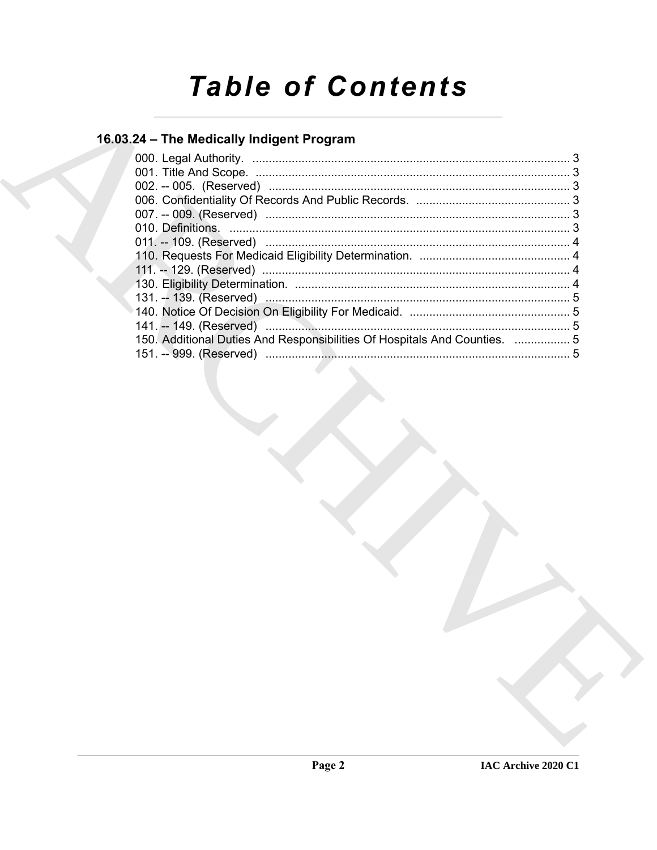# **Table of Contents**

### 16.03.24 - The Medically Indigent Program

| 150. Additional Duties And Responsibilities Of Hospitals And Counties.  5 |  |
|---------------------------------------------------------------------------|--|
|                                                                           |  |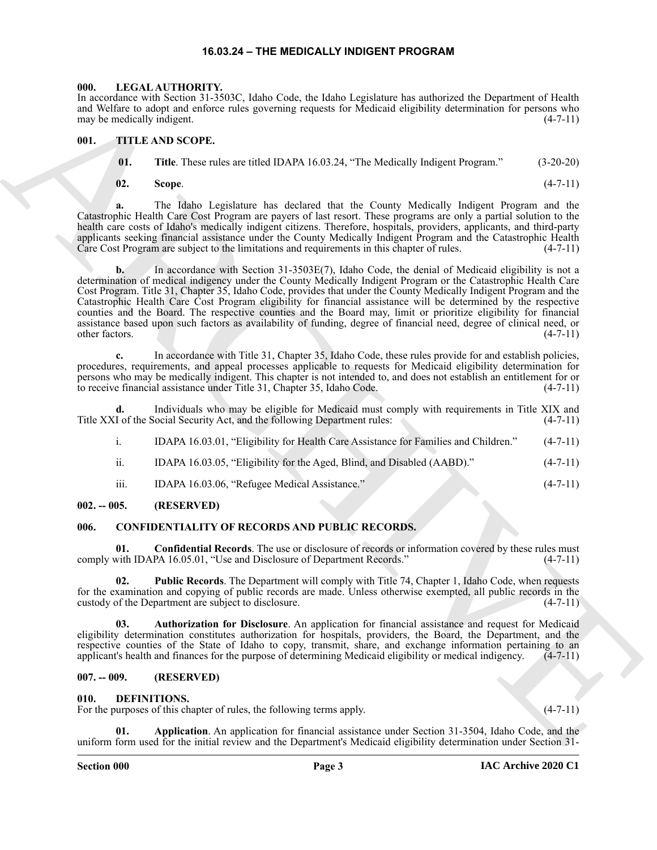#### **16.03.24 – THE MEDICALLY INDIGENT PROGRAM**

#### <span id="page-2-10"></span><span id="page-2-1"></span><span id="page-2-0"></span>**000. LEGAL AUTHORITY.**

In accordance with Section 31-3503C, Idaho Code, the Idaho Legislature has authorized the Department of Health and Welfare to adopt and enforce rules governing requests for Medicaid eligibility determination for persons who may be medically indigent.  $(4-7-11)$ 

#### <span id="page-2-2"></span>**001. TITLE AND SCOPE.**

<span id="page-2-11"></span> **01. Title**. These rules are titled IDAPA 16.03.24, "The Medically Indigent Program." (3-20-20)

**02. Scope**. (4-7-11)

**a.** The Idaho Legislature has declared that the County Medically Indigent Program and the Catastrophic Health Care Cost Program are payers of last resort. These programs are only a partial solution to the health care costs of Idaho's medically indigent citizens. Therefore, hospitals, providers, applicants, and third-party applicants seeking financial assistance under the County Medically Indigent Program and the Catastrophic Health Care Cost Program are subject to the limitations and requirements in this chapter of rules. (4-7-11)

Hence the result of the result of the result of the result of the result of the results in the result of the results of the results of the results of the results of the results of the results of the results of the resul **b.** In accordance with Section 31-3503E(7), Idaho Code, the denial of Medicaid eligibility is not a determination of medical indigency under the County Medically Indigent Program or the Catastrophic Health Care Cost Program. Title 31, Chapter 35, Idaho Code, provides that under the County Medically Indigent Program and the Catastrophic Health Care Cost Program eligibility for financial assistance will be determined by the respective counties and the Board. The respective counties and the Board may, limit or prioritize eligibility for financial assistance based upon such factors as availability of funding, degree of financial need, degree of clinical need, or other factors. (4-7-11)

**c.** In accordance with Title 31, Chapter 35, Idaho Code, these rules provide for and establish policies, procedures, requirements, and appeal processes applicable to requests for Medicaid eligibility determination for persons who may be medically indigent. This chapter is not intended to, and does not establish an entitlement for or<br>to receive financial assistance under Title 31, Chapter 35, Idaho Code. (4-7-11) to receive financial assistance under Title 31, Chapter 35, Idaho Code.

**d.** Individuals who may be eligible for Medicaid must comply with requirements in Title XIX and Title XXI of the Social Security Act, and the following Department rules: (4-7-11)

- i. IDAPA 16.03.01, "Eligibility for Health Care Assistance for Families and Children." (4-7-11)
- ii. IDAPA 16.03.05, "Eligibility for the Aged, Blind, and Disabled (AABD)." (4-7-11)
- <span id="page-2-7"></span>iii. IDAPA 16.03.06, "Refugee Medical Assistance." (4-7-11)

#### <span id="page-2-3"></span>**002. -- 005. (RESERVED)**

#### <span id="page-2-4"></span>**006. CONFIDENTIALITY OF RECORDS AND PUBLIC RECORDS.**

**01. Confidential Records**. The use or disclosure of records or information covered by these rules must with IDAPA 16.05.01. "Use and Disclosure of Department Records." (4-7-11) comply with IDAPA 16.05.01, "Use and Disclosure of Department Records."

**02. Public Records**. The Department will comply with Title 74, Chapter 1, Idaho Code, when requests for the examination and copying of public records are made. Unless otherwise exempted, all public records in the custody of the Department are subject to disclosure. (4-7-11)

**03. Authorization for Disclosure**. An application for financial assistance and request for Medicaid eligibility determination constitutes authorization for hospitals, providers, the Board, the Department, and the respective counties of the State of Idaho to copy, transmit, share, and exchange information pertaining to an applicant's health and finances for the purpose of determining Medicaid eligibility or medical indigency. (4-7-1 applicant's health and finances for the purpose of determining Medicaid eligibility or medical indigency.

#### <span id="page-2-5"></span>**007. -- 009. (RESERVED)**

#### <span id="page-2-8"></span><span id="page-2-6"></span>**010. DEFINITIONS.**

For the purposes of this chapter of rules, the following terms apply. (4-7-11)

<span id="page-2-9"></span>**01.** Application. An application for financial assistance under Section 31-3504, Idaho Code, and the uniform form used for the initial review and the Department's Medicaid eligibility determination under Section 31-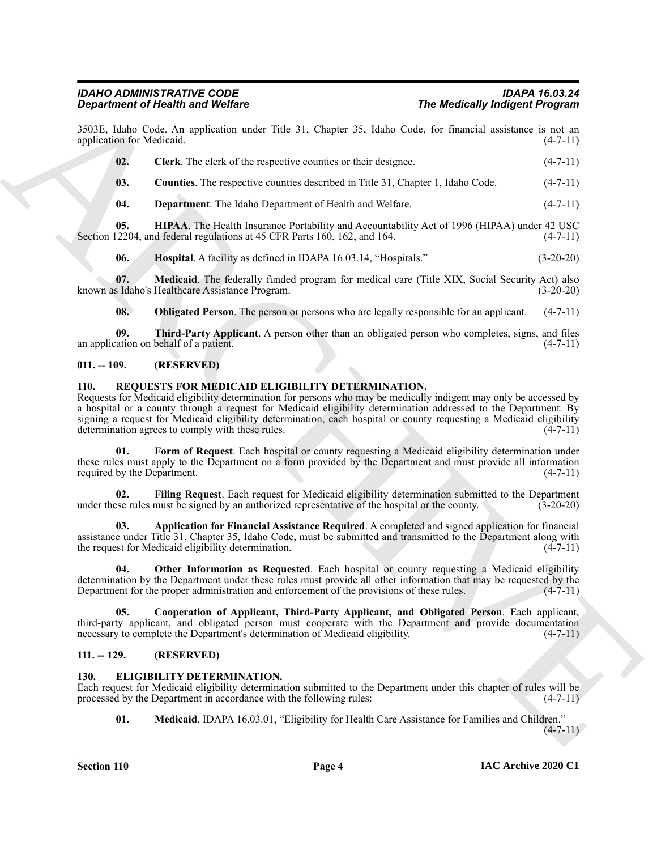#### *IDAHO ADMINISTRATIVE CODE IDAPA 16.03.24 Department of Health and Welfare*

3503E, Idaho Code. An application under Title 31, Chapter 35, Idaho Code, for financial assistance is not an application for Medicaid.

<span id="page-3-4"></span>**02.** Clerk. The clerk of the respective counties or their designee. (4-7-11)

<span id="page-3-5"></span>**03.** Counties. The respective counties described in Title 31, Chapter 1, Idaho Code.  $(4-7-11)$ 

<span id="page-3-7"></span><span id="page-3-6"></span>**04. Department**. The Idaho Department of Health and Welfare. (4-7-11)

**05. HIPAA**. The Health Insurance Portability and Accountability Act of 1996 (HIPAA) under 42 USC 2204, and federal regulations at 45 CFR Parts 160, 162, and 164. (4-7-11) Section 12204, and federal regulations at 45 CFR Parts 160, 162, and 164.

<span id="page-3-9"></span><span id="page-3-8"></span>**06. Hospital**. A facility as defined in IDAPA 16.03.14, "Hospitals." (3-20-20)

**07.** Medicaid. The federally funded program for medical care (Title XIX, Social Security Act) also known as Idaho's Healthcare Assistance Program. (3-20-20)

<span id="page-3-11"></span><span id="page-3-10"></span>**08. Obligated Person**. The person or persons who are legally responsible for an applicant. (4-7-11)

**09. Third-Party Applicant**. A person other than an obligated person who completes, signs, and files an application on behalf of a patient.  $(4-7-11)$ 

#### <span id="page-3-0"></span>**011. -- 109. (RESERVED)**

#### <span id="page-3-14"></span><span id="page-3-1"></span>**110. REQUESTS FOR MEDICAID ELIGIBILITY DETERMINATION.**

**The Medicially individue<br>
Spin Medicially individues<br>
Spin Medicial Particular School Contribute to the 31. Chapte 55, labar Col., let insured measures**  $x_1 + 7 + 11$ **<br>
spin Medicine (1972). Chark The side of the negative c** Requests for Medicaid eligibility determination for persons who may be medically indigent may only be accessed by a hospital or a county through a request for Medicaid eligibility determination addressed to the Department. By signing a request for Medicaid eligibility determination, each hospital or county requesting a Medicaid eligibility determination agrees to comply with these rules. (4-7-11) determination agrees to comply with these rules.

<span id="page-3-18"></span>**01. Form of Request**. Each hospital or county requesting a Medicaid eligibility determination under these rules must apply to the Department on a form provided by the Department and must provide all information required by the Department. (4-7-11)

<span id="page-3-17"></span>**02. Filing Request**. Each request for Medicaid eligibility determination submitted to the Department under these rules must be signed by an authorized representative of the hospital or the county. (3-20-20)

<span id="page-3-15"></span>**03. Application for Financial Assistance Required**. A completed and signed application for financial assistance under Title 31, Chapter 35, Idaho Code, must be submitted and transmitted to the Department along with the request for Medicaid eligibility determination. (4-7-11) the request for Medicaid eligibility determination.

<span id="page-3-19"></span>**04. Other Information as Requested**. Each hospital or county requesting a Medicaid eligibility determination by the Department under these rules must provide all other information that may be requested by the Department for the proper administration and enforcement of the provisions of these rules. (4-7-11) Department for the proper administration and enforcement of the provisions of these rules.

<span id="page-3-16"></span>**05. Cooperation of Applicant, Third-Party Applicant, and Obligated Person**. Each applicant, third-party applicant, and obligated person must cooperate with the Department and provide documentation necessary to complete the Department's determination of Medicaid eligibility. (4-7-11)

#### <span id="page-3-2"></span>**111. -- 129. (RESERVED)**

#### <span id="page-3-12"></span><span id="page-3-3"></span>**130. ELIGIBILITY DETERMINATION.**

Each request for Medicaid eligibility determination submitted to the Department under this chapter of rules will be processed by the Department in accordance with the following rules: (4-7-11)

<span id="page-3-13"></span>**01. Medicaid**. IDAPA 16.03.01, "Eligibility for Health Care Assistance for Families and Children."

 $(4-7-11)$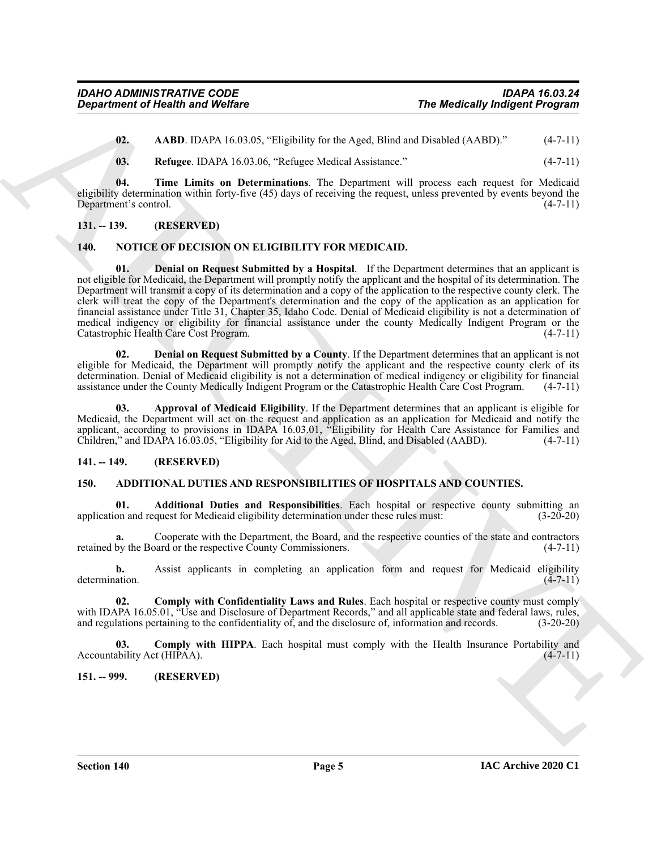<span id="page-4-6"></span>**02.** AABD. IDAPA 16.03.05, "Eligibility for the Aged, Blind and Disabled (AABD)." (4-7-11)

<span id="page-4-8"></span><span id="page-4-7"></span>**03. Refugee**. IDAPA 16.03.06, "Refugee Medical Assistance." (4-7-11)

**04. Time Limits on Determinations**. The Department will process each request for Medicaid eligibility determination within forty-five (45) days of receiving the request, unless prevented by events beyond the Department's control. (4-7-11)

#### <span id="page-4-0"></span>**131. -- 139. (RESERVED)**

#### <span id="page-4-12"></span><span id="page-4-9"></span><span id="page-4-1"></span>**140. NOTICE OF DECISION ON ELIGIBILITY FOR MEDICAID.**

**Engagineristic of Nearlth and Wolfare**<br>
1710. **Noting LDADA** is the Most Distribution of the Appel Distribution Controller (ADD).<sup>2</sup><br>
183. **Reference DADA** is 50.50. "Englishing be the Appel Distribution (40.00).<sup>2</sup> (4.7 **Denial on Request Submitted by a Hospital.** If the Department determines that an applicant is not eligible for Medicaid, the Department will promptly notify the applicant and the hospital of its determination. The Department will transmit a copy of its determination and a copy of the application to the respective county clerk. The clerk will treat the copy of the Department's determination and the copy of the application as an application for financial assistance under Title 31, Chapter 35, Idaho Code. Denial of Medicaid eligibility is not a determination of medical indigency or eligibility for financial assistance under the county Medically Indigent Program or the Catastrophic Health Care Cost Program. Catastrophic Health Care Cost Program.

<span id="page-4-11"></span>**02. Denial on Request Submitted by a County**. If the Department determines that an applicant is not eligible for Medicaid, the Department will promptly notify the applicant and the respective county clerk of its determination. Denial of Medicaid eligibility is not a determination of medical indigency or eligibility for financial assistance under the County Medically Indigent Program or the Catastrophic Health Care Cost Program. (4-7-11)

<span id="page-4-10"></span>**03. Approval of Medicaid Eligibility**. If the Department determines that an applicant is eligible for Medicaid, the Department will act on the request and application as an application for Medicaid and notify the applicant, according to provisions in IDAPA 16.03.01, "Eligibility for Health Care Assistance for Families and Children," and IDAPA 16.03.05, "Eligibility for Aid to the Aged, Blind, and Disabled (AABD). (4-7-11)

#### <span id="page-4-2"></span>**141. -- 149. (RESERVED)**

#### <span id="page-4-5"></span><span id="page-4-3"></span>**150. ADDITIONAL DUTIES AND RESPONSIBILITIES OF HOSPITALS AND COUNTIES.**

**01. Additional Duties and Responsibilities**. Each hospital or respective county submitting an on and request for Medicaid eligibility determination under these rules must: (3-20-20) application and request for Medicaid eligibility determination under these rules must:

Cooperate with the Department, the Board, and the respective counties of the state and contractors pard or the respective County Commissioners. (4-7-11) retained by the Board or the respective County Commissioners.

**b.** Assist applicants in completing an application form and request for Medicaid eligibility determination. (4-7-11)

**02. Comply with Confidentiality Laws and Rules**. Each hospital or respective county must comply with IDAPA 16.05.01, "Use and Disclosure of Department Records," and all applicable state and federal laws, rules, and regulations pertaining to the confidentiality of, and the disclosure of, information and records. (3-20-20)

**03. Comply with HIPPA**. Each hospital must comply with the Health Insurance Portability and ability Act (HIPAA). Accountability Act ( $HI\tilde{PAA}$ ).

<span id="page-4-4"></span>**151. -- 999. (RESERVED)**